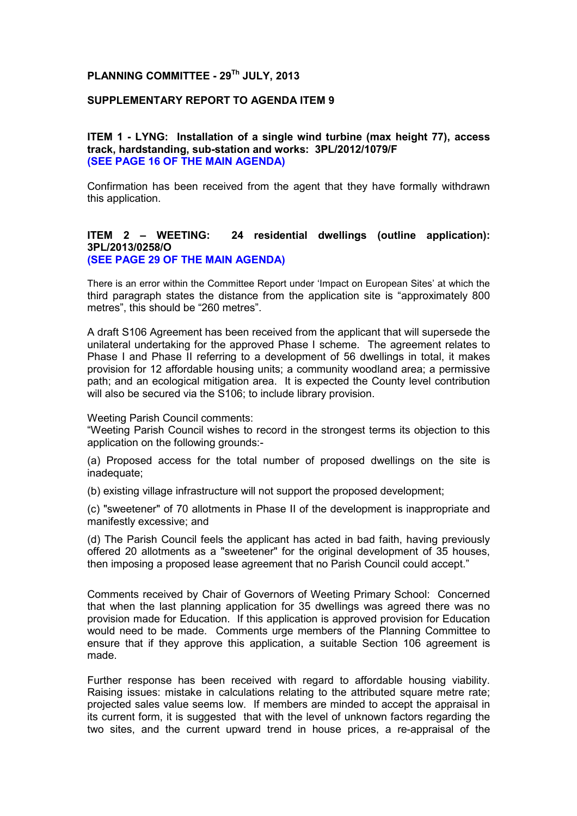# **PLANNING COMMITTEE - 29Th JULY, 2013**

## **SUPPLEMENTARY REPORT TO AGENDA ITEM 9**

# **ITEM 1 - LYNG: Installation of a single wind turbine (max height 77), access track, hardstanding, sub-station and works: 3PL/2012/1079/F (SEE PAGE 16 OF THE MAIN AGENDA)**

Confirmation has been received from the agent that they have formally withdrawn this application.

### **ITEM 2 – WEETING: 24 residential dwellings (outline application): 3PL/2013/0258/O (SEE PAGE 29 OF THE MAIN AGENDA)**

There is an error within the Committee Report under 'Impact on European Sites' at which the third paragraph states the distance from the application site is "approximately 800 metres", this should be "260 metres".

A draft S106 Agreement has been received from the applicant that will supersede the unilateral undertaking for the approved Phase I scheme. The agreement relates to Phase I and Phase II referring to a development of 56 dwellings in total, it makes provision for 12 affordable housing units; a community woodland area; a permissive path; and an ecological mitigation area. It is expected the County level contribution will also be secured via the S106; to include library provision.

Weeting Parish Council comments:

"Weeting Parish Council wishes to record in the strongest terms its objection to this application on the following grounds:-

(a) Proposed access for the total number of proposed dwellings on the site is inadequate:

(b) existing village infrastructure will not support the proposed development;

(c) "sweetener" of 70 allotments in Phase II of the development is inappropriate and manifestly excessive; and

(d) The Parish Council feels the applicant has acted in bad faith, having previously offered 20 allotments as a "sweetener" for the original development of 35 houses, then imposing a proposed lease agreement that no Parish Council could accept."

Comments received by Chair of Governors of Weeting Primary School: Concerned that when the last planning application for 35 dwellings was agreed there was no provision made for Education. If this application is approved provision for Education would need to be made. Comments urge members of the Planning Committee to ensure that if they approve this application, a suitable Section 106 agreement is made.

Further response has been received with regard to affordable housing viability. Raising issues: mistake in calculations relating to the attributed square metre rate; projected sales value seems low. If members are minded to accept the appraisal in its current form, it is suggested that with the level of unknown factors regarding the two sites, and the current upward trend in house prices, a re-appraisal of the